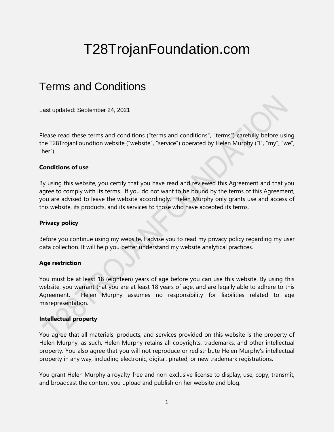# T28TrojanFoundation.com

# Terms and Conditions

Last updated: September 24, 2021

Please read these terms and conditions ("terms and conditions", "terms") carefully before using the T28TrojanFoundtion website ("website", "service") operated by Helen Murphy ("I", "my", "we", " $her$ ").

# **Conditions of use**

By using this website, you certify that you have read and reviewed this Agreement and that you agree to comply with its terms. If you do not want to be bound by the terms of this Agreement, you are advised to leave the website accordingly. Helen Murphy only grants use and access of this website, its products, and its services to those who have accepted its terms.

# **Privacy policy**

Before you continue using my website, I advise you to read my privacy policy regarding my user data collection. It will help you better understand my website analytical practices.

# **Age restriction**

You must be at least 18 (eighteen) years of age before you can use this website. By using this website, you warrant that you are at least 18 years of age, and are legally able to adhere to this Agreement. Helen Murphy assumes no responsibility for liabilities related to age misrepresentation.

# **Intellectual property**

You agree that all materials, products, and services provided on this website is the property of Helen Murphy, as such, Helen Murphy retains all copyrights, trademarks, and other intellectual property. You also agree that you will not reproduce or redistribute Helen Murphy's intellectual property in any way, including electronic, digital, pirated, or new trademark registrations.

You grant Helen Murphy a royalty-free and non-exclusive license to display, use, copy, transmit, and broadcast the content you upload and publish on her website and blog.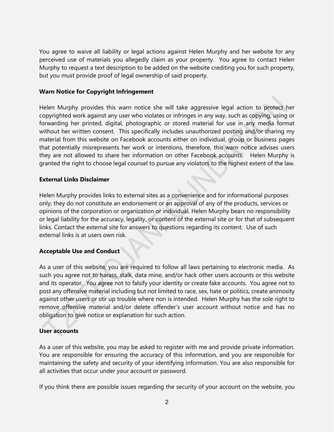You agree to waive all liability or legal actions against Helen Murphy and her website for any perceived use of materials you allegedly claim as your property. You agree to contact Helen Murphy to request a text description to be added on the website crediting you for such property, but you must provide proof of legal ownership of said property.

# **Warn Notice for Copyright Infringement**

Helen Murphy provides this warn notice she will take aggressive legal action to protect her copyrighted work against any user who violates or infringes in any way, such as copying, using or forwarding her printed, digital, photographic or stored material for use in any media format without her written consent. This specifically includes unauthorized posting and/or sharing my material from this website on Facebook accounts either on individual, group or business pages that potentially misrepresents her work or intentions, therefore, this warn notice advises users they are not allowed to share her information on other Facebook accounts. Helen Murphy is granted the right to choose legal counsel to pursue any violators to the highest extent of the law.

# **External Links Disclaimer**

Helen Murphy provides links to external sites as a convenience and for informational purposes only; they do not constitute an endorsement or an approval of any of the products, services or opinions of the corporation or organization or individual. Helen Murphy bears no responsibility or legal liability for the accuracy, legality, or content of the external site or for that of subsequent links. Contact the external site for answers to questions regarding its content. Use of such external links is at users own risk.

# **Acceptable Use and Conduct**

As a user of this website, you are required to follow all laws pertaining to electronic media. As such you agree not to harass, stalk, data mine, and/or hack other users accounts or this website and its operator. You agree not to falsify your identity or create fake accounts. You agree not to post any offensive material including but not limited to race, sex, hate or politics, create animosity against other users or stir up trouble where non is intended. Helen Murphy has the sole right to remove offensive material and/or delete offender's user account without notice and has no obligation to give notice or explanation for such action.

# **User accounts**

As a user of this website, you may be asked to register with me and provide private information. You are responsible for ensuring the accuracy of this information, and you are responsible for maintaining the safety and security of your identifying information. You are also responsible for all activities that occur under your account or password.

If you think there are possible issues regarding the security of your account on the website, you